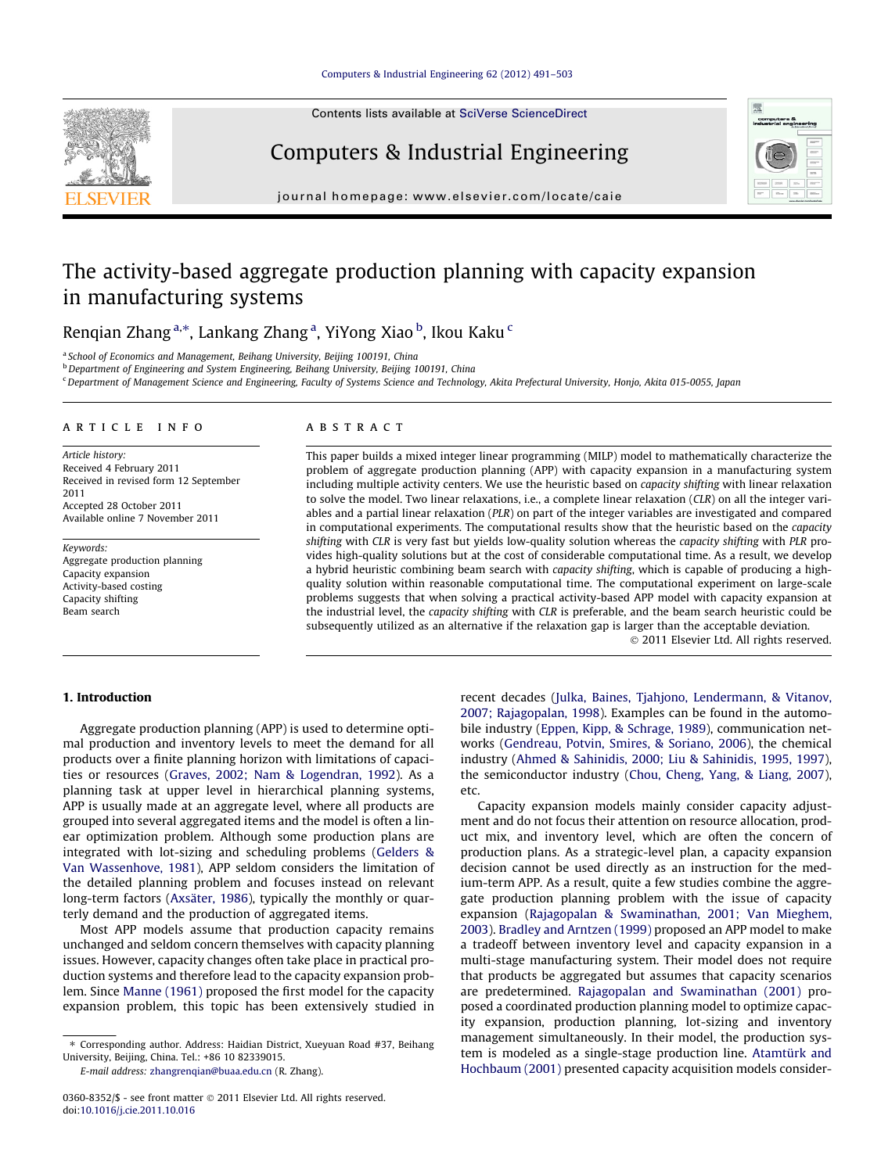Contents lists available at [SciVerse ScienceDirect](http://www.sciencedirect.com/science/journal/03608352)

Computers & Industrial Engineering



journal homepage: [www.elsevier.com/locate/caie](http://www.elsevier.com/locate/caie)

# The activity-based aggregate production planning with capacity expansion in manufacturing systems

Renqian Zhang<sup>a,</sup>\*, Lankang Zhang<sup>a</sup>, YiYong Xiao <sup>b</sup>, Ikou Kaku <sup>c</sup>

<sup>a</sup> School of Economics and Management, Beihang University, Beijing 100191, China

<sup>b</sup> Department of Engineering and System Engineering, Beihang University, Beijing 100191, China

<sup>c</sup> Department of Management Science and Engineering, Faculty of Systems Science and Technology, Akita Prefectural University, Honjo, Akita 015-0055, Japan

### article info

Article history: Received 4 February 2011 Received in revised form 12 September 2011 Accepted 28 October 2011 Available online 7 November 2011

Keywords: Aggregate production planning Capacity expansion Activity-based costing Capacity shifting Beam search

## ABSTRACT

This paper builds a mixed integer linear programming (MILP) model to mathematically characterize the problem of aggregate production planning (APP) with capacity expansion in a manufacturing system including multiple activity centers. We use the heuristic based on capacity shifting with linear relaxation to solve the model. Two linear relaxations, i.e., a complete linear relaxation (CLR) on all the integer variables and a partial linear relaxation (PLR) on part of the integer variables are investigated and compared in computational experiments. The computational results show that the heuristic based on the capacity shifting with CLR is very fast but yields low-quality solution whereas the capacity shifting with PLR provides high-quality solutions but at the cost of considerable computational time. As a result, we develop a hybrid heuristic combining beam search with capacity shifting, which is capable of producing a highquality solution within reasonable computational time. The computational experiment on large-scale problems suggests that when solving a practical activity-based APP model with capacity expansion at the industrial level, the capacity shifting with CLR is preferable, and the beam search heuristic could be subsequently utilized as an alternative if the relaxation gap is larger than the acceptable deviation.

- 2011 Elsevier Ltd. All rights reserved.

# 1. Introduction

Aggregate production planning (APP) is used to determine optimal production and inventory levels to meet the demand for all products over a finite planning horizon with limitations of capacities or resources ([Graves, 2002; Nam & Logendran, 1992\)](#page--1-0). As a planning task at upper level in hierarchical planning systems, APP is usually made at an aggregate level, where all products are grouped into several aggregated items and the model is often a linear optimization problem. Although some production plans are integrated with lot-sizing and scheduling problems ([Gelders &](#page--1-0) [Van Wassenhove, 1981\)](#page--1-0), APP seldom considers the limitation of the detailed planning problem and focuses instead on relevant long-term factors [\(Axsäter, 1986\)](#page--1-0), typically the monthly or quarterly demand and the production of aggregated items.

Most APP models assume that production capacity remains unchanged and seldom concern themselves with capacity planning issues. However, capacity changes often take place in practical production systems and therefore lead to the capacity expansion problem. Since [Manne \(1961\)](#page--1-0) proposed the first model for the capacity expansion problem, this topic has been extensively studied in

E-mail address: [zhangrenqian@buaa.edu.cn](mailto:zhangrenqian@buaa.edu.cn) (R. Zhang).

recent decades ([Julka, Baines, Tjahjono, Lendermann, & Vitanov,](#page--1-0) [2007; Rajagopalan, 1998\)](#page--1-0). Examples can be found in the automobile industry ([Eppen, Kipp, & Schrage, 1989](#page--1-0)), communication networks [\(Gendreau, Potvin, Smires, & Soriano, 2006\)](#page--1-0), the chemical industry [\(Ahmed & Sahinidis, 2000; Liu & Sahinidis, 1995, 1997\)](#page--1-0), the semiconductor industry ([Chou, Cheng, Yang, & Liang, 2007\)](#page--1-0), etc.

Capacity expansion models mainly consider capacity adjustment and do not focus their attention on resource allocation, product mix, and inventory level, which are often the concern of production plans. As a strategic-level plan, a capacity expansion decision cannot be used directly as an instruction for the medium-term APP. As a result, quite a few studies combine the aggregate production planning problem with the issue of capacity expansion [\(Rajagopalan & Swaminathan, 2001; Van Mieghem,](#page--1-0) [2003](#page--1-0)). [Bradley and Arntzen \(1999\)](#page--1-0) proposed an APP model to make a tradeoff between inventory level and capacity expansion in a multi-stage manufacturing system. Their model does not require that products be aggregated but assumes that capacity scenarios are predetermined. [Rajagopalan and Swaminathan \(2001\)](#page--1-0) proposed a coordinated production planning model to optimize capacity expansion, production planning, lot-sizing and inventory management simultaneously. In their model, the production system is modeled as a single-stage production line. [Atamtürk and](#page--1-0) [Hochbaum \(2001\)](#page--1-0) presented capacity acquisition models consider-

<sup>⇑</sup> Corresponding author. Address: Haidian District, Xueyuan Road #37, Beihang University, Beijing, China. Tel.: +86 10 82339015.

<sup>0360-8352/\$ -</sup> see front matter © 2011 Elsevier Ltd. All rights reserved. doi[:10.1016/j.cie.2011.10.016](http://dx.doi.org/10.1016/j.cie.2011.10.016)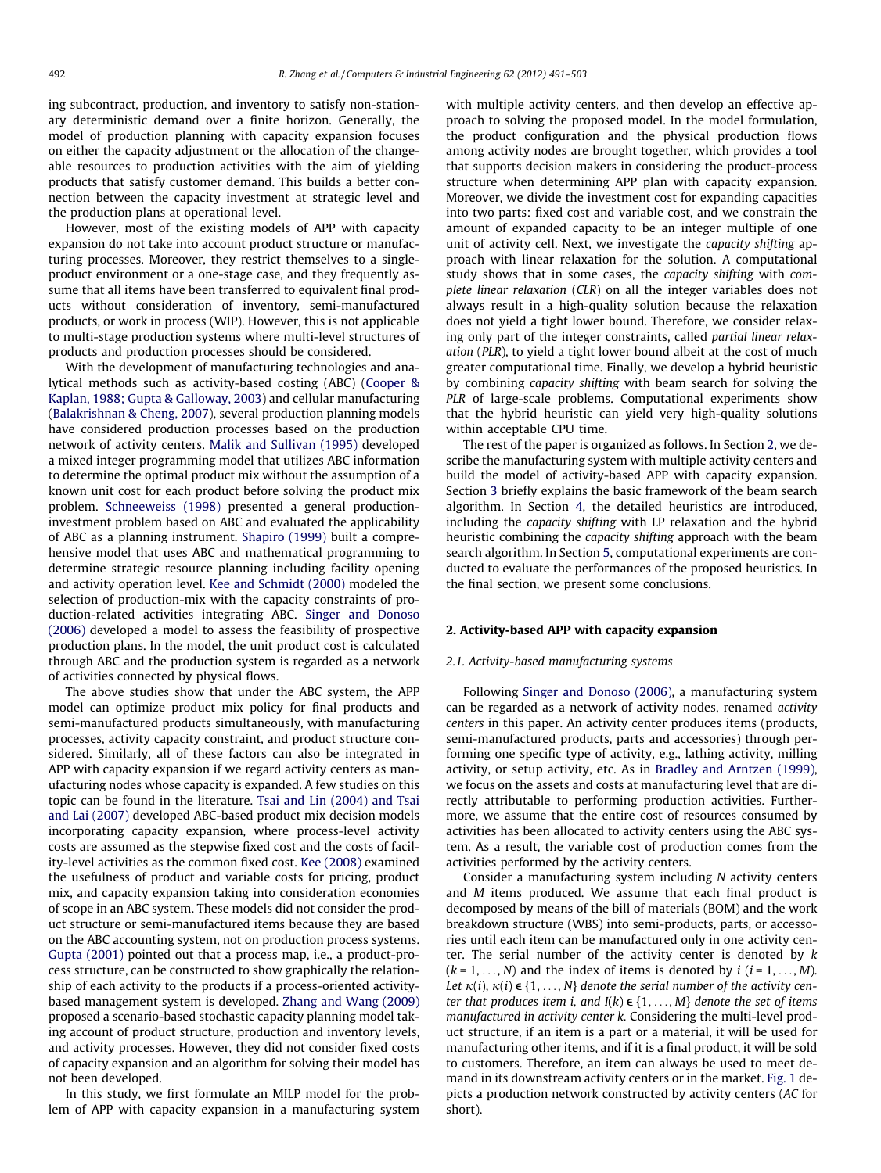ing subcontract, production, and inventory to satisfy non-stationary deterministic demand over a finite horizon. Generally, the model of production planning with capacity expansion focuses on either the capacity adjustment or the allocation of the changeable resources to production activities with the aim of yielding products that satisfy customer demand. This builds a better connection between the capacity investment at strategic level and the production plans at operational level.

However, most of the existing models of APP with capacity expansion do not take into account product structure or manufacturing processes. Moreover, they restrict themselves to a singleproduct environment or a one-stage case, and they frequently assume that all items have been transferred to equivalent final products without consideration of inventory, semi-manufactured products, or work in process (WIP). However, this is not applicable to multi-stage production systems where multi-level structures of products and production processes should be considered.

With the development of manufacturing technologies and analytical methods such as activity-based costing (ABC) [\(Cooper &](#page--1-0) [Kaplan, 1988; Gupta & Galloway, 2003](#page--1-0)) and cellular manufacturing ([Balakrishnan & Cheng, 2007](#page--1-0)), several production planning models have considered production processes based on the production network of activity centers. [Malik and Sullivan \(1995\)](#page--1-0) developed a mixed integer programming model that utilizes ABC information to determine the optimal product mix without the assumption of a known unit cost for each product before solving the product mix problem. [Schneeweiss \(1998\)](#page--1-0) presented a general productioninvestment problem based on ABC and evaluated the applicability of ABC as a planning instrument. [Shapiro \(1999\)](#page--1-0) built a comprehensive model that uses ABC and mathematical programming to determine strategic resource planning including facility opening and activity operation level. [Kee and Schmidt \(2000\)](#page--1-0) modeled the selection of production-mix with the capacity constraints of production-related activities integrating ABC. [Singer and Donoso](#page--1-0) [\(2006\)](#page--1-0) developed a model to assess the feasibility of prospective production plans. In the model, the unit product cost is calculated through ABC and the production system is regarded as a network of activities connected by physical flows.

The above studies show that under the ABC system, the APP model can optimize product mix policy for final products and semi-manufactured products simultaneously, with manufacturing processes, activity capacity constraint, and product structure considered. Similarly, all of these factors can also be integrated in APP with capacity expansion if we regard activity centers as manufacturing nodes whose capacity is expanded. A few studies on this topic can be found in the literature. [Tsai and Lin \(2004\) and Tsai](#page--1-0) [and Lai \(2007\)](#page--1-0) developed ABC-based product mix decision models incorporating capacity expansion, where process-level activity costs are assumed as the stepwise fixed cost and the costs of facility-level activities as the common fixed cost. [Kee \(2008\)](#page--1-0) examined the usefulness of product and variable costs for pricing, product mix, and capacity expansion taking into consideration economies of scope in an ABC system. These models did not consider the product structure or semi-manufactured items because they are based on the ABC accounting system, not on production process systems. [Gupta \(2001\)](#page--1-0) pointed out that a process map, i.e., a product-process structure, can be constructed to show graphically the relationship of each activity to the products if a process-oriented activitybased management system is developed. [Zhang and Wang \(2009\)](#page--1-0) proposed a scenario-based stochastic capacity planning model taking account of product structure, production and inventory levels, and activity processes. However, they did not consider fixed costs of capacity expansion and an algorithm for solving their model has not been developed.

In this study, we first formulate an MILP model for the problem of APP with capacity expansion in a manufacturing system with multiple activity centers, and then develop an effective approach to solving the proposed model. In the model formulation, the product configuration and the physical production flows among activity nodes are brought together, which provides a tool that supports decision makers in considering the product-process structure when determining APP plan with capacity expansion. Moreover, we divide the investment cost for expanding capacities into two parts: fixed cost and variable cost, and we constrain the amount of expanded capacity to be an integer multiple of one unit of activity cell. Next, we investigate the capacity shifting approach with linear relaxation for the solution. A computational study shows that in some cases, the capacity shifting with complete linear relaxation (CLR) on all the integer variables does not always result in a high-quality solution because the relaxation does not yield a tight lower bound. Therefore, we consider relaxing only part of the integer constraints, called partial linear relaxation (PLR), to yield a tight lower bound albeit at the cost of much greater computational time. Finally, we develop a hybrid heuristic by combining capacity shifting with beam search for solving the PLR of large-scale problems. Computational experiments show that the hybrid heuristic can yield very high-quality solutions within acceptable CPU time.

The rest of the paper is organized as follows. In Section 2, we describe the manufacturing system with multiple activity centers and build the model of activity-based APP with capacity expansion. Section [3](#page--1-0) briefly explains the basic framework of the beam search algorithm. In Section [4](#page--1-0), the detailed heuristics are introduced, including the capacity shifting with LP relaxation and the hybrid heuristic combining the capacity shifting approach with the beam search algorithm. In Section [5](#page--1-0), computational experiments are conducted to evaluate the performances of the proposed heuristics. In the final section, we present some conclusions.

# 2. Activity-based APP with capacity expansion

## 2.1. Activity-based manufacturing systems

Following [Singer and Donoso \(2006\)](#page--1-0), a manufacturing system can be regarded as a network of activity nodes, renamed activity centers in this paper. An activity center produces items (products, semi-manufactured products, parts and accessories) through performing one specific type of activity, e.g., lathing activity, milling activity, or setup activity, etc. As in [Bradley and Arntzen \(1999\),](#page--1-0) we focus on the assets and costs at manufacturing level that are directly attributable to performing production activities. Furthermore, we assume that the entire cost of resources consumed by activities has been allocated to activity centers using the ABC system. As a result, the variable cost of production comes from the activities performed by the activity centers.

Consider a manufacturing system including N activity centers and M items produced. We assume that each final product is decomposed by means of the bill of materials (BOM) and the work breakdown structure (WBS) into semi-products, parts, or accessories until each item can be manufactured only in one activity center. The serial number of the activity center is denoted by  $k$  $(k = 1, \ldots, N)$  and the index of items is denoted by  $i$  ( $i = 1, \ldots, M$ ). Let  $\kappa(i)$ ,  $\kappa(i) \in \{1, \ldots, N\}$  denote the serial number of the activity center that produces item i, and  $I(k) \in \{1, \ldots, M\}$  denote the set of items manufactured in activity center k. Considering the multi-level product structure, if an item is a part or a material, it will be used for manufacturing other items, and if it is a final product, it will be sold to customers. Therefore, an item can always be used to meet demand in its downstream activity centers or in the market. [Fig. 1](#page--1-0) depicts a production network constructed by activity centers (AC for short).